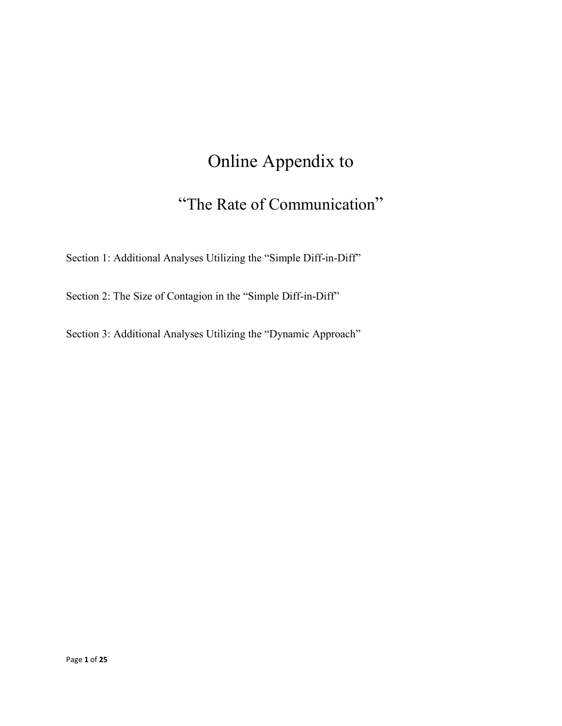# Online Appendix to

# "The Rate of Communication"

Section 1: Additional Analyses Utilizing the "Simple Diff-in-Diff"

Section 2: The Size of Contagion in the "Simple Diff-in-Diff"

Section 3: Additional Analyses Utilizing the "Dynamic Approach"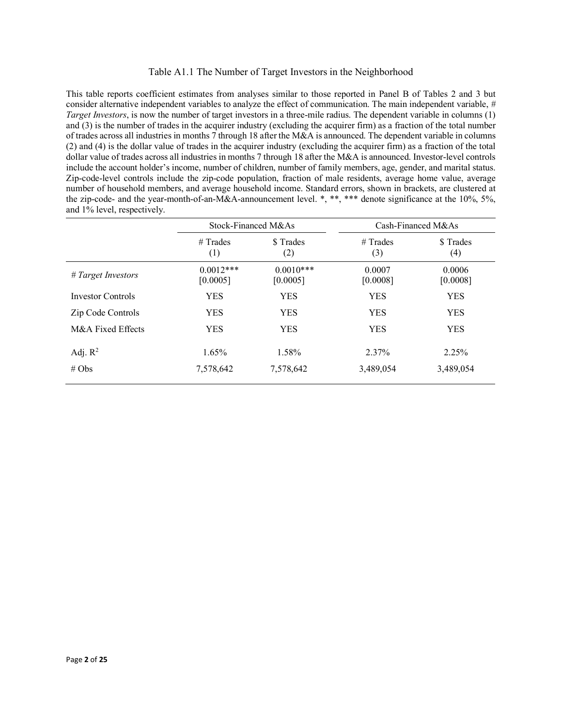## Table A1.1 The Number of Target Investors in the Neighborhood

This table reports coefficient estimates from analyses similar to those reported in Panel B of Tables 2 and 3 but consider alternative independent variables to analyze the effect of communication. The main independent variable, *# Target Investors*, is now the number of target investors in a three-mile radius. The dependent variable in columns (1) and (3) is the number of trades in the acquirer industry (excluding the acquirer firm) as a fraction of the total number of trades across all industries in months 7 through 18 after the M&A is announced. The dependent variable in columns (2) and (4) is the dollar value of trades in the acquirer industry (excluding the acquirer firm) as a fraction of the total dollar value of trades across all industries in months 7 through 18 after the M&A is announced. Investor-level controls include the account holder's income, number of children, number of family members, age, gender, and marital status. Zip-code-level controls include the zip-code population, fraction of male residents, average home value, average number of household members, and average household income. Standard errors, shown in brackets, are clustered at the zip-code- and the year-month-of-an-M&A-announcement level. \*, \*\*, \*\*\* denote significance at the 10%, 5%, and 1% level, respectively.

|                    | Stock-Financed M&As     |                         |                    | Cash-Financed M&As |
|--------------------|-------------------------|-------------------------|--------------------|--------------------|
|                    | $#$ Trades<br>(1)       | \$ Trades<br>(2)        | $#$ Trades<br>(3)  | \$ Trades<br>(4)   |
| # Target Investors | $0.0012***$<br>[0.0005] | $0.0010***$<br>[0.0005] | 0.0007<br>[0.0008] | 0.0006<br>[0.0008] |
| Investor Controls  | <b>YES</b>              | <b>YES</b>              | <b>YES</b>         | <b>YES</b>         |
| Zip Code Controls  | <b>YES</b>              | <b>YES</b>              | <b>YES</b>         | <b>YES</b>         |
| M&A Fixed Effects  | <b>YES</b>              | <b>YES</b>              | <b>YES</b>         | <b>YES</b>         |
| Adj. $R^2$         | 1.65%                   | 1.58%                   | 2.37%              | 2.25%              |
| # $Obs$            | 7,578,642               | 7,578,642               | 3,489,054          | 3,489,054          |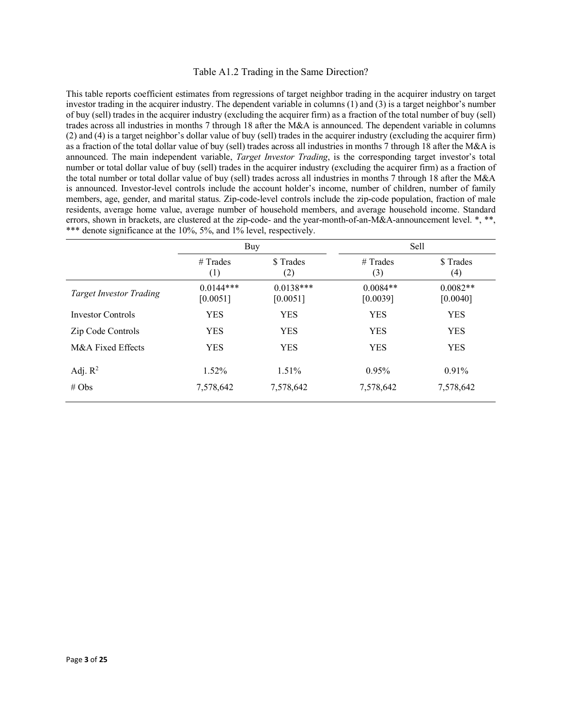### Table A1.2 Trading in the Same Direction?

This table reports coefficient estimates from regressions of target neighbor trading in the acquirer industry on target investor trading in the acquirer industry. The dependent variable in columns (1) and (3) is a target neighbor's number of buy (sell) trades in the acquirer industry (excluding the acquirer firm) as a fraction of the total number of buy (sell) trades across all industries in months 7 through 18 after the M&A is announced. The dependent variable in columns (2) and (4) is a target neighbor's dollar value of buy (sell) trades in the acquirer industry (excluding the acquirer firm) as a fraction of the total dollar value of buy (sell) trades across all industries in months 7 through 18 after the M&A is announced. The main independent variable, *Target Investor Trading*, is the corresponding target investor's total number or total dollar value of buy (sell) trades in the acquirer industry (excluding the acquirer firm) as a fraction of the total number or total dollar value of buy (sell) trades across all industries in months 7 through 18 after the M&A is announced. Investor-level controls include the account holder's income, number of children, number of family members, age, gender, and marital status. Zip-code-level controls include the zip-code population, fraction of male residents, average home value, average number of household members, and average household income. Standard errors, shown in brackets, are clustered at the zip-code- and the year-month-of-an-M&A-announcement level. \*, \*\*, \*\*\* denote significance at the 10%, 5%, and 1% level, respectively.

|                                | Buy                     |                         | Sell                   |                                |
|--------------------------------|-------------------------|-------------------------|------------------------|--------------------------------|
|                                | $#$ Trades<br>(1)       | \$ Trades<br>(2)        | $#$ Trades<br>(3)      | \$ Trades<br>$\left( 4\right)$ |
| <b>Target Investor Trading</b> | $0.0144***$<br>[0.0051] | $0.0138***$<br>[0.0051] | $0.0084**$<br>[0.0039] | $0.0082**$<br>[0.0040]         |
| Investor Controls              | <b>YES</b>              | <b>YES</b>              | <b>YES</b>             | <b>YES</b>                     |
| Zip Code Controls              | <b>YES</b>              | <b>YES</b>              | <b>YES</b>             | <b>YES</b>                     |
| M&A Fixed Effects              | <b>YES</b>              | <b>YES</b>              | <b>YES</b>             | <b>YES</b>                     |
| Adj. $R^2$                     | 1.52%                   | $1.51\%$                | 0.95%                  | $0.91\%$                       |
| # $Obs$                        | 7,578,642               | 7,578,642               | 7,578,642              | 7,578,642                      |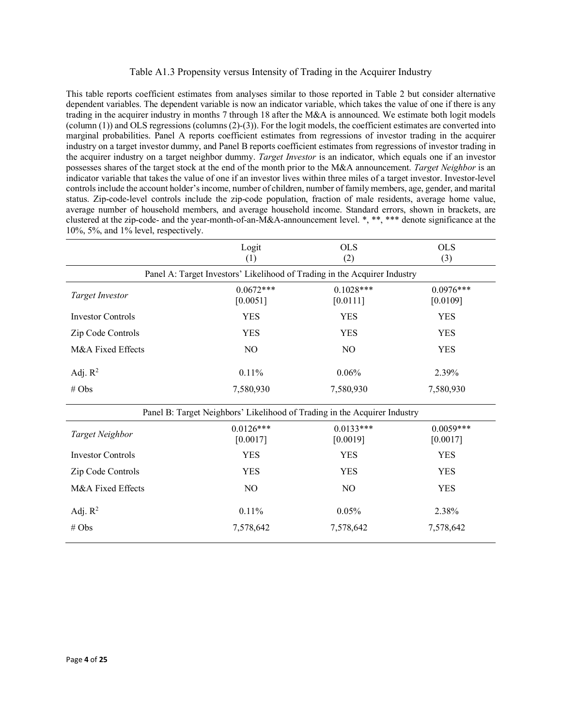## Table A1.3 Propensity versus Intensity of Trading in the Acquirer Industry

This table reports coefficient estimates from analyses similar to those reported in Table 2 but consider alternative dependent variables. The dependent variable is now an indicator variable, which takes the value of one if there is any trading in the acquirer industry in months 7 through 18 after the M&A is announced. We estimate both logit models (column (1)) and OLS regressions (columns (2)-(3)). For the logit models, the coefficient estimates are converted into marginal probabilities. Panel A reports coefficient estimates from regressions of investor trading in the acquirer industry on a target investor dummy, and Panel B reports coefficient estimates from regressions of investor trading in the acquirer industry on a target neighbor dummy. *Target Investor* is an indicator, which equals one if an investor possesses shares of the target stock at the end of the month prior to the M&A announcement. *Target Neighbor* is an indicator variable that takes the value of one if an investor lives within three miles of a target investor. Investor-level controls include the account holder's income, number of children, number of family members, age, gender, and marital status. Zip-code-level controls include the zip-code population, fraction of male residents, average home value, average number of household members, and average household income. Standard errors, shown in brackets, are clustered at the zip-code- and the year-month-of-an-M&A-announcement level. \*, \*\*, \*\*\* denote significance at the 10%, 5%, and 1% level, respectively.

|                          | Logit<br>(1)                                                              | <b>OLS</b><br>(2)       | <b>OLS</b><br>(3)       |
|--------------------------|---------------------------------------------------------------------------|-------------------------|-------------------------|
|                          | Panel A: Target Investors' Likelihood of Trading in the Acquirer Industry |                         |                         |
| <b>Target Investor</b>   | $0.0672***$<br>[0.0051]                                                   | $0.1028***$<br>[0.0111] | $0.0976***$<br>[0.0109] |
| <b>Investor Controls</b> | <b>YES</b>                                                                | <b>YES</b>              | <b>YES</b>              |
| Zip Code Controls        | <b>YES</b>                                                                | <b>YES</b>              | <b>YES</b>              |
| M&A Fixed Effects        | N <sub>O</sub>                                                            | N <sub>O</sub>          | <b>YES</b>              |
| Adj. $R^2$               | 0.11%                                                                     | 0.06%                   | 2.39%                   |
| # Obs                    | 7,580,930                                                                 | 7,580,930               | 7,580,930               |
|                          | Panel B: Target Neighbors' Likelihood of Trading in the Acquirer Industry |                         |                         |
| Target Neighbor          | $0.0126***$<br>[0.0017]                                                   | $0.0133***$<br>[0.0019] | $0.0059***$<br>[0.0017] |
| <b>Investor Controls</b> | <b>YES</b>                                                                | <b>YES</b>              | <b>YES</b>              |
| Zip Code Controls        | <b>YES</b>                                                                | <b>YES</b>              | <b>YES</b>              |
| M&A Fixed Effects        | N <sub>O</sub>                                                            | N <sub>O</sub>          | <b>YES</b>              |
| Adj. $R^2$               | 0.11%                                                                     | 0.05%                   | 2.38%                   |
| # Obs                    | 7,578,642                                                                 | 7,578,642               | 7,578,642               |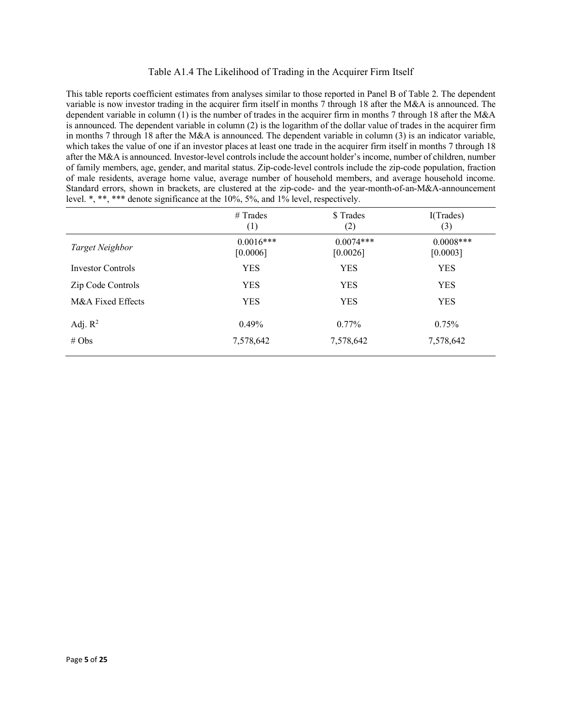## Table A1.4 The Likelihood of Trading in the Acquirer Firm Itself

This table reports coefficient estimates from analyses similar to those reported in Panel B of Table 2. The dependent variable is now investor trading in the acquirer firm itself in months 7 through 18 after the M&A is announced. The dependent variable in column (1) is the number of trades in the acquirer firm in months 7 through 18 after the M&A is announced. The dependent variable in column (2) is the logarithm of the dollar value of trades in the acquirer firm in months 7 through 18 after the M&A is announced. The dependent variable in column (3) is an indicator variable, which takes the value of one if an investor places at least one trade in the acquirer firm itself in months 7 through 18 after the M&A is announced. Investor-level controls include the account holder's income, number of children, number of family members, age, gender, and marital status. Zip-code-level controls include the zip-code population, fraction of male residents, average home value, average number of household members, and average household income. Standard errors, shown in brackets, are clustered at the zip-code- and the year-month-of-an-M&A-announcement level. \*, \*\*, \*\*\* denote significance at the 10%, 5%, and 1% level, respectively.

|                          | $#$ Trades<br>(1)       | \$ Trades<br>(2)        | I(Trades)<br>(3)         |
|--------------------------|-------------------------|-------------------------|--------------------------|
| Target Neighbor          | $0.0016***$<br>[0.0006] | $0.0074***$<br>[0.0026] | $0.0008$ ***<br>[0.0003] |
| <b>Investor Controls</b> | <b>YES</b>              | <b>YES</b>              | <b>YES</b>               |
| Zip Code Controls        | YES                     | <b>YES</b>              | <b>YES</b>               |
| M&A Fixed Effects        | <b>YES</b>              | <b>YES</b>              | <b>YES</b>               |
| Adj. $R^2$               | $0.49\%$                | $0.77\%$                | $0.75\%$                 |
| # $Obs$                  | 7,578,642               | 7,578,642               | 7,578,642                |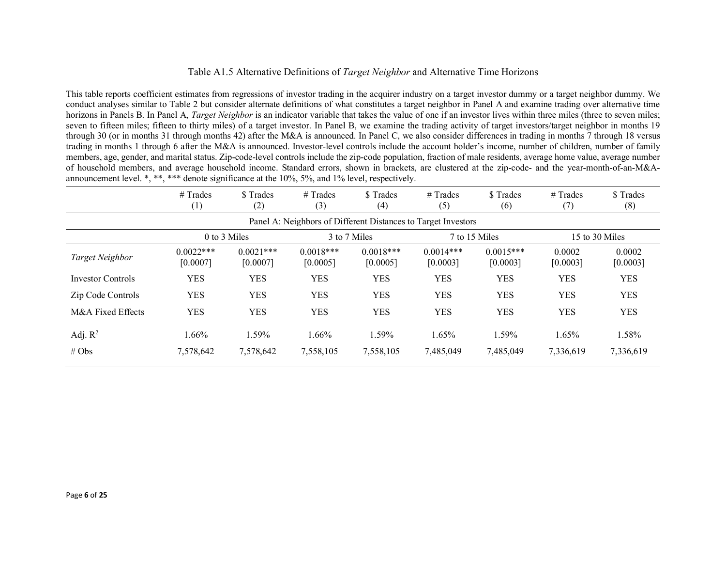## Table A1.5 Alternative Definitions of *Target Neighbor* and Alternative Time Horizons

This table reports coefficient estimates from regressions of investor trading in the acquirer industry on a target investor dummy or a target neighbor dummy. We conduct analyses similar to Table 2 but consider alternate definitions of what constitutes a target neighbor in Panel A and examine trading over alternative time horizons in Panels B. In Panel A, *Target Neighbor* is an indicator variable that takes the value of one if an investor lives within three miles (three to seven miles; seven to fifteen miles; fifteen to thirty miles) of a target investor. In Panel B, we examine the trading activity of target investors/target neighbor in months 19 through 30 (or in months 31 through months 42) after the M&A is announced. In Panel C, we also consider differences in trading in months 7 through 18 versus trading in months 1 through 6 after the M&A is announced. Investor-level controls include the account holder's income, number of children, number of family members, age, gender, and marital status. Zip-code-level controls include the zip-code population, fraction of male residents, average home value, average number of household members, and average household income. Standard errors, shown in brackets, are clustered at the zip-code- and the year-month-of-an-M&Aannouncement level. \*, \*\*, \*\*\* denote significance at the 10%, 5%, and 1% level, respectively.

|                          | $#$ Trades<br>$\left( 1\right)$ | \$ Trades<br>(2)        | $#$ Trades<br>(3)       | \$Trades<br>(4)         | $#$ Trades<br>(5)                                             | \$ Trades<br>(6)        | # Trades<br>(7)    | \$ Trades<br>(8)   |
|--------------------------|---------------------------------|-------------------------|-------------------------|-------------------------|---------------------------------------------------------------|-------------------------|--------------------|--------------------|
|                          |                                 |                         |                         |                         | Panel A: Neighbors of Different Distances to Target Investors |                         |                    |                    |
|                          |                                 | 0 to 3 Miles            |                         | 3 to 7 Miles            |                                                               | 7 to 15 Miles           |                    | 15 to 30 Miles     |
| Target Neighbor          | $0.0022***$<br>[0.0007]         | $0.0021***$<br>[0.0007] | $0.0018***$<br>[0.0005] | $0.0018***$<br>[0.0005] | $0.0014***$<br>[0.0003]                                       | $0.0015***$<br>[0.0003] | 0.0002<br>[0.0003] | 0.0002<br>[0.0003] |
| <b>Investor Controls</b> | <b>YES</b>                      | <b>YES</b>              | <b>YES</b>              | YES                     | <b>YES</b>                                                    | <b>YES</b>              | <b>YES</b>         | <b>YES</b>         |
| Zip Code Controls        | <b>YES</b>                      | <b>YES</b>              | <b>YES</b>              | <b>YES</b>              | <b>YES</b>                                                    | <b>YES</b>              | <b>YES</b>         | <b>YES</b>         |
| M&A Fixed Effects        | <b>YES</b>                      | <b>YES</b>              | <b>YES</b>              | <b>YES</b>              | <b>YES</b>                                                    | <b>YES</b>              | <b>YES</b>         | <b>YES</b>         |
| Adj. $R^2$               | 1.66%                           | 1.59%                   | 1.66%                   | 1.59%                   | 1.65%                                                         | 1.59%                   | 1.65%              | 1.58%              |
| # Obs                    | 7,578,642                       | 7,578,642               | 7,558,105               | 7,558,105               | 7,485,049                                                     | 7,485,049               | 7,336,619          | 7,336,619          |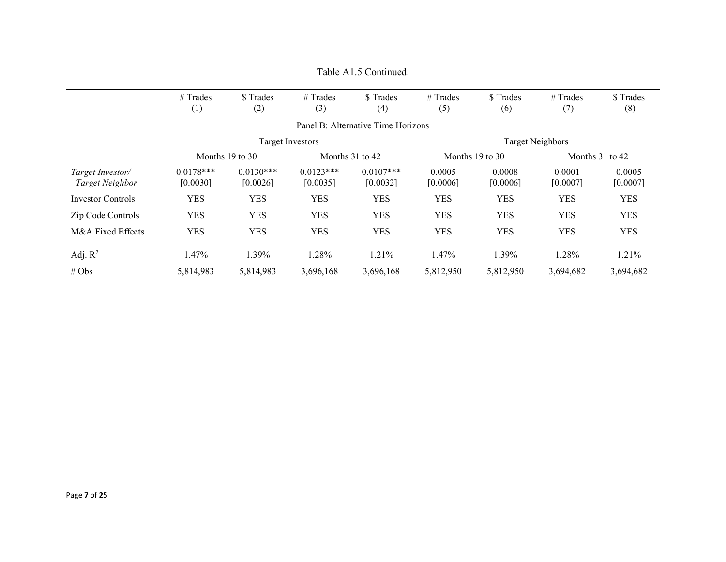|                                            | $#$ Trades<br>(1)       | \$Trades<br>(2)         | $#$ Trades<br>(3)       | \$Trades<br>(4)                    | # Trades<br>(5)    | \$ Trades<br>(6)   | # Trades<br>(7)         | \$ Trades<br>(8)   |
|--------------------------------------------|-------------------------|-------------------------|-------------------------|------------------------------------|--------------------|--------------------|-------------------------|--------------------|
|                                            |                         |                         |                         | Panel B: Alternative Time Horizons |                    |                    |                         |                    |
|                                            |                         |                         | <b>Target Investors</b> |                                    |                    |                    | <b>Target Neighbors</b> |                    |
|                                            |                         | Months 19 to 30         |                         | Months $31$ to $42$                | Months 19 to 30    |                    |                         | Months 31 to 42    |
| Target Investor/<br><b>Target Neighbor</b> | $0.0178***$<br>[0.0030] | $0.0130***$<br>[0.0026] | $0.0123***$<br>[0.0035] | $0.0107***$<br>[0.0032]            | 0.0005<br>[0.0006] | 0.0008<br>[0.0006] | 0.0001<br>[0.0007]      | 0.0005<br>[0.0007] |
| <b>Investor Controls</b>                   | <b>YES</b>              | <b>YES</b>              | <b>YES</b>              | <b>YES</b>                         | <b>YES</b>         | <b>YES</b>         | <b>YES</b>              | <b>YES</b>         |
| Zip Code Controls                          | <b>YES</b>              | <b>YES</b>              | <b>YES</b>              | <b>YES</b>                         | <b>YES</b>         | <b>YES</b>         | <b>YES</b>              | <b>YES</b>         |
| M&A Fixed Effects                          | <b>YES</b>              | <b>YES</b>              | <b>YES</b>              | <b>YES</b>                         | <b>YES</b>         | <b>YES</b>         | <b>YES</b>              | <b>YES</b>         |
| Adj. $R^2$                                 | 1.47%                   | 1.39%                   | 1.28%                   | 1.21%                              | 1.47%              | 1.39%              | 1.28%                   | 1.21%              |
| # Obs                                      | 5,814,983               | 5,814,983               | 3,696,168               | 3,696,168                          | 5,812,950          | 5,812,950          | 3,694,682               | 3,694,682          |

Table A1.5 Continued.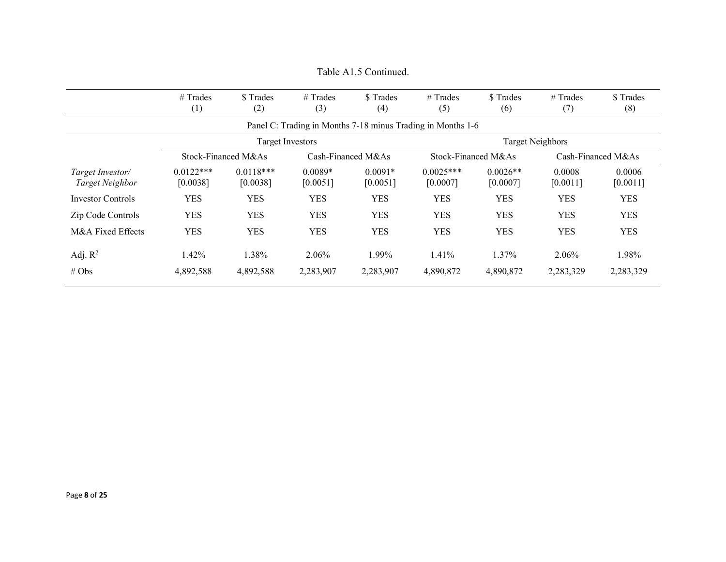|                                     | $#$ Trades<br>$\left(1\right)$ | \$Trades<br>(2)         | $#$ Trades<br>(3)       | \$ Trades<br>(4)      | $#$ Trades<br>(5)                                           | \$Trades<br>(6)        | $#$ Trades<br>(7)       | \$ Trades<br>(8)   |
|-------------------------------------|--------------------------------|-------------------------|-------------------------|-----------------------|-------------------------------------------------------------|------------------------|-------------------------|--------------------|
|                                     |                                |                         |                         |                       | Panel C: Trading in Months 7-18 minus Trading in Months 1-6 |                        |                         |                    |
|                                     |                                |                         | <b>Target Investors</b> |                       |                                                             |                        | <b>Target Neighbors</b> |                    |
|                                     |                                | Stock-Financed M&As     |                         | $Cash-Financed M&As$  |                                                             | Stock-Financed M&As    |                         | Cash-Financed M&As |
| Target Investor/<br>Target Neighbor | $0.0122***$<br>[0.0038]        | $0.0118***$<br>[0.0038] | $0.0089*$<br>[0.0051]   | $0.0091*$<br>[0.0051] | $0.0025***$<br>[0.0007]                                     | $0.0026**$<br>[0.0007] | 0.0008<br>[0.0011]      | 0.0006<br>[0.0011] |
| <b>Investor Controls</b>            | <b>YES</b>                     | <b>YES</b>              | <b>YES</b>              | YES.                  | <b>YES</b>                                                  | <b>YES</b>             | <b>YES</b>              | <b>YES</b>         |
| Zip Code Controls                   | <b>YES</b>                     | <b>YES</b>              | <b>YES</b>              | <b>YES</b>            | <b>YES</b>                                                  | <b>YES</b>             | <b>YES</b>              | <b>YES</b>         |
| M&A Fixed Effects                   | <b>YES</b>                     | <b>YES</b>              | <b>YES</b>              | <b>YES</b>            | <b>YES</b>                                                  | <b>YES</b>             | <b>YES</b>              | <b>YES</b>         |
| Adj. $R^2$<br># $Obs$               | 1.42%<br>4,892,588             | .38%<br>4,892,588       | 2.06%<br>2,283,907      | 1.99%<br>2,283,907    | 1.41%<br>4,890,872                                          | $1.37\%$<br>4,890,872  | 2.06%<br>2,283,329      | 1.98%<br>2,283,329 |

## Table A1.5 Continued.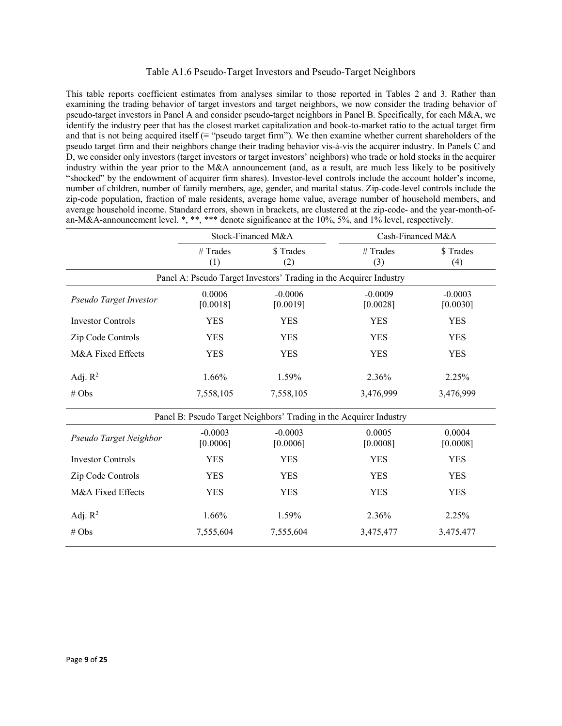### Table A1.6 Pseudo-Target Investors and Pseudo-Target Neighbors

This table reports coefficient estimates from analyses similar to those reported in Tables 2 and 3. Rather than examining the trading behavior of target investors and target neighbors, we now consider the trading behavior of pseudo-target investors in Panel A and consider pseudo-target neighbors in Panel B. Specifically, for each M&A, we identify the industry peer that has the closest market capitalization and book-to-market ratio to the actual target firm and that is not being acquired itself ( $\equiv$  "pseudo target firm"). We then examine whether current shareholders of the pseudo target firm and their neighbors change their trading behavior vis-à-vis the acquirer industry. In Panels C and D, we consider only investors (target investors or target investors' neighbors) who trade or hold stocks in the acquirer industry within the year prior to the M&A announcement (and, as a result, are much less likely to be positively "shocked" by the endowment of acquirer firm shares). Investor-level controls include the account holder's income, number of children, number of family members, age, gender, and marital status. Zip-code-level controls include the zip-code population, fraction of male residents, average home value, average number of household members, and average household income. Standard errors, shown in brackets, are clustered at the zip-code- and the year-month-ofan-M&A-announcement level. \*, \*\*, \*\*\* denote significance at the 10%, 5%, and 1% level, respectively.

|                          |                       | Stock-Financed M&A                                                 | Cash-Financed M&A     |                       |  |
|--------------------------|-----------------------|--------------------------------------------------------------------|-----------------------|-----------------------|--|
|                          | # Trades<br>(1)       | \$Trades<br>(2)                                                    | # Trades<br>(3)       | \$Trades<br>(4)       |  |
|                          |                       | Panel A: Pseudo Target Investors' Trading in the Acquirer Industry |                       |                       |  |
| Pseudo Target Investor   | 0.0006<br>[0.0018]    | $-0.0006$<br>[0.0019]                                              | $-0.0009$<br>[0.0028] | $-0.0003$<br>[0.0030] |  |
| <b>Investor Controls</b> | <b>YES</b>            | <b>YES</b>                                                         | <b>YES</b>            | <b>YES</b>            |  |
| Zip Code Controls        | <b>YES</b>            | <b>YES</b>                                                         | <b>YES</b>            | <b>YES</b>            |  |
| M&A Fixed Effects        | <b>YES</b>            | <b>YES</b>                                                         | <b>YES</b>            | <b>YES</b>            |  |
| Adj. $R^2$               | 1.66%                 | 1.59%                                                              | 2.36%                 | 2.25%                 |  |
| # $Obs$                  | 7,558,105             | 7,558,105                                                          | 3,476,999             | 3,476,999             |  |
|                          |                       | Panel B: Pseudo Target Neighbors' Trading in the Acquirer Industry |                       |                       |  |
| Pseudo Target Neighbor   | $-0.0003$<br>[0.0006] | $-0.0003$<br>[0.0006]                                              | 0.0005<br>[0.0008]    | 0.0004<br>[0.0008]    |  |
| <b>Investor Controls</b> | <b>YES</b>            | <b>YES</b>                                                         | <b>YES</b>            | <b>YES</b>            |  |
| Zip Code Controls        | <b>YES</b>            | <b>YES</b>                                                         | <b>YES</b>            | <b>YES</b>            |  |
| M&A Fixed Effects        | <b>YES</b>            | <b>YES</b>                                                         | <b>YES</b>            | <b>YES</b>            |  |
| Adj. $R^2$               | 1.66%                 | 1.59%                                                              | 2.36%                 | 2.25%                 |  |
| # Obs                    | 7,555,604             | 7,555,604                                                          | 3,475,477             | 3,475,477             |  |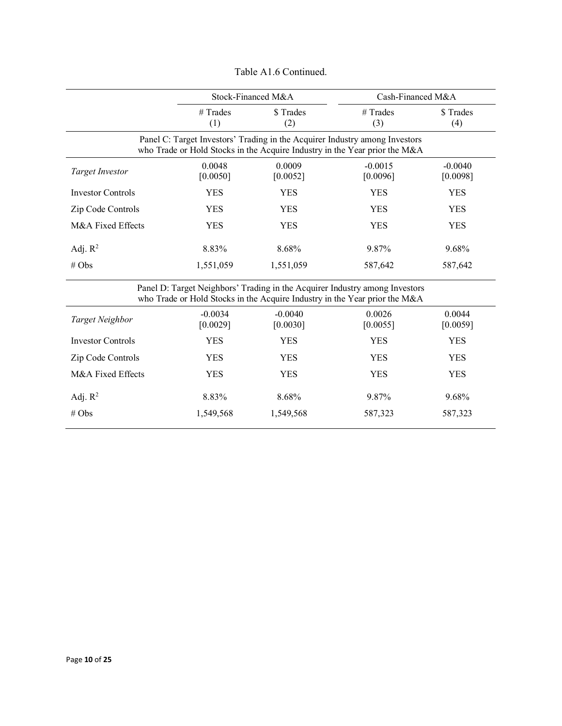|                          |                       | Stock-Financed M&A    | Cash-Financed M&A                                                                                                                                         |                       |  |
|--------------------------|-----------------------|-----------------------|-----------------------------------------------------------------------------------------------------------------------------------------------------------|-----------------------|--|
|                          | $#$ Trades<br>(1)     | \$Trades<br>(2)       | # Trades<br>(3)                                                                                                                                           | \$Trades<br>(4)       |  |
|                          |                       |                       | Panel C: Target Investors' Trading in the Acquirer Industry among Investors<br>who Trade or Hold Stocks in the Acquire Industry in the Year prior the M&A |                       |  |
| Target Investor          | 0.0048<br>[0.0050]    | 0.0009<br>[0.0052]    | $-0.0015$<br>[0.0096]                                                                                                                                     | $-0.0040$<br>[0.0098] |  |
| <b>Investor Controls</b> | <b>YES</b>            | <b>YES</b>            | <b>YES</b>                                                                                                                                                | <b>YES</b>            |  |
| Zip Code Controls        | <b>YES</b>            | <b>YES</b>            | <b>YES</b>                                                                                                                                                | <b>YES</b>            |  |
| M&A Fixed Effects        | <b>YES</b>            | <b>YES</b>            | <b>YES</b>                                                                                                                                                | <b>YES</b>            |  |
| Adj. $R^2$               | 8.83%                 | 8.68%                 | 9.87%                                                                                                                                                     | 9.68%                 |  |
| # Obs                    | 1,551,059             | 1,551,059             | 587,642                                                                                                                                                   | 587,642               |  |
|                          |                       |                       | Panel D: Target Neighbors' Trading in the Acquirer Industry among Investors<br>who Trade or Hold Stocks in the Acquire Industry in the Year prior the M&A |                       |  |
| Target Neighbor          | $-0.0034$<br>[0.0029] | $-0.0040$<br>[0.0030] | 0.0026<br>[0.0055]                                                                                                                                        | 0.0044<br>[0.0059]    |  |
| <b>Investor Controls</b> | <b>YES</b>            | <b>YES</b>            | <b>YES</b>                                                                                                                                                | <b>YES</b>            |  |
| Zip Code Controls        | <b>YES</b>            | <b>YES</b>            | <b>YES</b>                                                                                                                                                | <b>YES</b>            |  |
| M&A Fixed Effects        | YES                   | <b>YES</b>            | <b>YES</b>                                                                                                                                                | <b>YES</b>            |  |

Adj. R<sup>2</sup> 8.83% 8.68% 9.87% 9.68% # Obs 1,549,568 1,549,568 587,323 587,323

Table A1.6 Continued.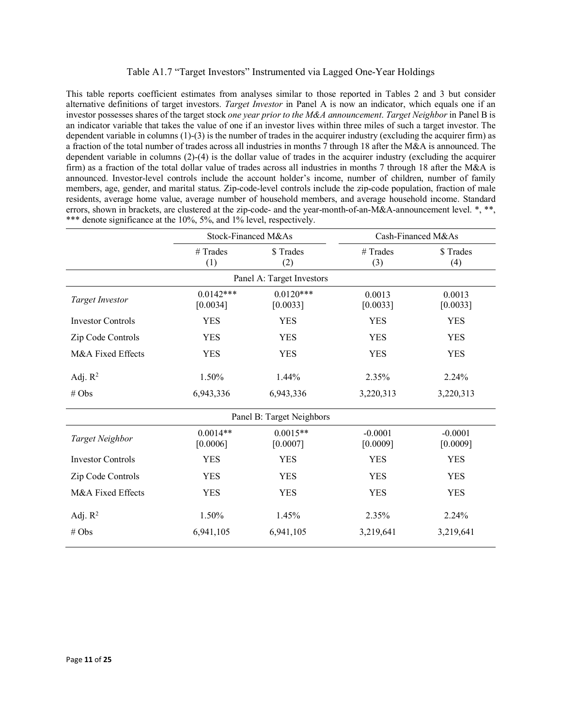## Table A1.7 "Target Investors" Instrumented via Lagged One-Year Holdings

This table reports coefficient estimates from analyses similar to those reported in Tables 2 and 3 but consider alternative definitions of target investors. *Target Investor* in Panel A is now an indicator, which equals one if an investor possesses shares of the target stock *one year prior to the M&A announcement*. *Target Neighbor* in Panel B is an indicator variable that takes the value of one if an investor lives within three miles of such a target investor. The dependent variable in columns (1)-(3) is the number of trades in the acquirer industry (excluding the acquirer firm) as a fraction of the total number of trades across all industries in months 7 through 18 after the M&A is announced. The dependent variable in columns (2)-(4) is the dollar value of trades in the acquirer industry (excluding the acquirer firm) as a fraction of the total dollar value of trades across all industries in months 7 through 18 after the M&A is announced. Investor-level controls include the account holder's income, number of children, number of family members, age, gender, and marital status. Zip-code-level controls include the zip-code population, fraction of male residents, average home value, average number of household members, and average household income. Standard errors, shown in brackets, are clustered at the zip-code- and the year-month-of-an-M&A-announcement level. \*, \*\*, \*\*\* denote significance at the 10%, 5%, and 1% level, respectively.

|                          | Stock-Financed M&As     |                           | Cash-Financed M&As    |                       |  |
|--------------------------|-------------------------|---------------------------|-----------------------|-----------------------|--|
|                          | # Trades<br>(1)         | \$Trades<br>(2)           | # Trades<br>(3)       | \$Trades<br>(4)       |  |
|                          |                         | Panel A: Target Investors |                       |                       |  |
| <b>Target Investor</b>   | $0.0142***$<br>[0.0034] | $0.0120***$<br>[0.0033]   | 0.0013<br>[0.0033]    | 0.0013<br>[0.0033]    |  |
| <b>Investor Controls</b> | <b>YES</b>              | <b>YES</b>                | <b>YES</b>            | <b>YES</b>            |  |
| Zip Code Controls        | <b>YES</b>              | <b>YES</b>                | <b>YES</b>            | <b>YES</b>            |  |
| M&A Fixed Effects        | <b>YES</b>              | <b>YES</b>                | <b>YES</b>            | <b>YES</b>            |  |
| Adj. $R^2$               | 1.50%                   | 1.44%                     | 2.35%                 | 2.24%                 |  |
| # Obs                    | 6,943,336               | 6,943,336                 | 3,220,313             | 3,220,313             |  |
|                          |                         | Panel B: Target Neighbors |                       |                       |  |
| Target Neighbor          | $0.0014**$<br>[0.0006]  | $0.0015**$<br>[0.0007]    | $-0.0001$<br>[0.0009] | $-0.0001$<br>[0.0009] |  |
| <b>Investor Controls</b> | <b>YES</b>              | <b>YES</b>                | <b>YES</b>            | <b>YES</b>            |  |
| Zip Code Controls        | <b>YES</b>              | <b>YES</b>                | <b>YES</b>            | <b>YES</b>            |  |
| M&A Fixed Effects        | <b>YES</b>              | <b>YES</b>                | <b>YES</b>            | <b>YES</b>            |  |
| Adj. $R^2$               | 1.50%                   | 1.45%                     | 2.35%                 | 2.24%                 |  |
| # Obs                    | 6,941,105               | 6,941,105                 | 3,219,641             | 3,219,641             |  |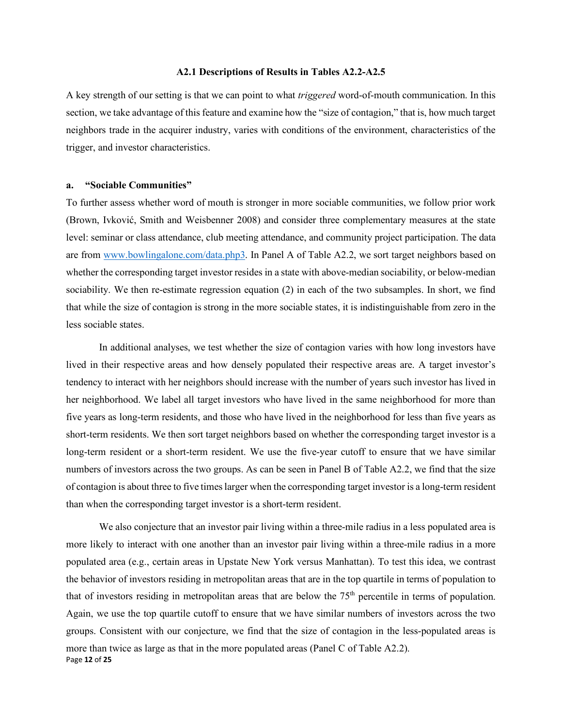#### **A2.1 Descriptions of Results in Tables A2.2-A2.5**

A key strength of our setting is that we can point to what *triggered* word-of-mouth communication. In this section, we take advantage of this feature and examine how the "size of contagion," that is, how much target neighbors trade in the acquirer industry, varies with conditions of the environment, characteristics of the trigger, and investor characteristics.

#### **a. "Sociable Communities"**

To further assess whether word of mouth is stronger in more sociable communities, we follow prior work (Brown, Ivković, Smith and Weisbenner 2008) and consider three complementary measures at the state level: seminar or class attendance, club meeting attendance, and community project participation. The data are from [www.bowlingalone.com/data.php3.](http://www.bowlingalone.com/data.php3) In Panel A of Table A2.2, we sort target neighbors based on whether the corresponding target investor resides in a state with above-median sociability, or below-median sociability. We then re-estimate regression equation (2) in each of the two subsamples. In short, we find that while the size of contagion is strong in the more sociable states, it is indistinguishable from zero in the less sociable states.

In additional analyses, we test whether the size of contagion varies with how long investors have lived in their respective areas and how densely populated their respective areas are. A target investor's tendency to interact with her neighbors should increase with the number of years such investor has lived in her neighborhood. We label all target investors who have lived in the same neighborhood for more than five years as long-term residents, and those who have lived in the neighborhood for less than five years as short-term residents. We then sort target neighbors based on whether the corresponding target investor is a long-term resident or a short-term resident. We use the five-year cutoff to ensure that we have similar numbers of investors across the two groups. As can be seen in Panel B of Table A2.2, we find that the size of contagion is about three to five times larger when the corresponding target investor is a long-term resident than when the corresponding target investor is a short-term resident.

Page **12** of **25** We also conjecture that an investor pair living within a three-mile radius in a less populated area is more likely to interact with one another than an investor pair living within a three-mile radius in a more populated area (e.g., certain areas in Upstate New York versus Manhattan). To test this idea, we contrast the behavior of investors residing in metropolitan areas that are in the top quartile in terms of population to that of investors residing in metropolitan areas that are below the  $75<sup>th</sup>$  percentile in terms of population. Again, we use the top quartile cutoff to ensure that we have similar numbers of investors across the two groups. Consistent with our conjecture, we find that the size of contagion in the less-populated areas is more than twice as large as that in the more populated areas (Panel C of Table A2.2).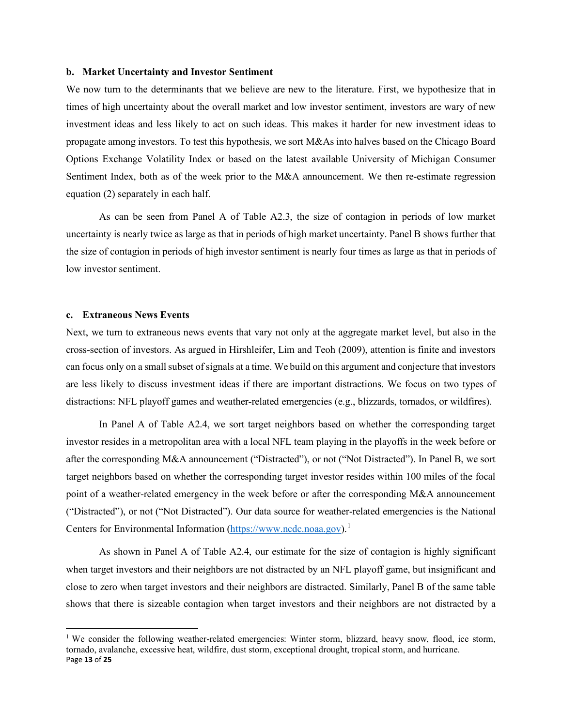#### **b. Market Uncertainty and Investor Sentiment**

We now turn to the determinants that we believe are new to the literature. First, we hypothesize that in times of high uncertainty about the overall market and low investor sentiment, investors are wary of new investment ideas and less likely to act on such ideas. This makes it harder for new investment ideas to propagate among investors. To test this hypothesis, we sort M&As into halves based on the Chicago Board Options Exchange Volatility Index or based on the latest available University of Michigan Consumer Sentiment Index, both as of the week prior to the M&A announcement. We then re-estimate regression equation (2) separately in each half.

As can be seen from Panel A of Table A2.3, the size of contagion in periods of low market uncertainty is nearly twice as large as that in periods of high market uncertainty. Panel B shows further that the size of contagion in periods of high investor sentiment is nearly four times as large as that in periods of low investor sentiment.

## **c. Extraneous News Events**

Next, we turn to extraneous news events that vary not only at the aggregate market level, but also in the cross-section of investors. As argued in Hirshleifer, Lim and Teoh (2009), attention is finite and investors can focus only on a small subset of signals at a time. We build on this argument and conjecture that investors are less likely to discuss investment ideas if there are important distractions. We focus on two types of distractions: NFL playoff games and weather-related emergencies (e.g., blizzards, tornados, or wildfires).

In Panel A of Table A2.4, we sort target neighbors based on whether the corresponding target investor resides in a metropolitan area with a local NFL team playing in the playoffs in the week before or after the corresponding M&A announcement ("Distracted"), or not ("Not Distracted"). In Panel B, we sort target neighbors based on whether the corresponding target investor resides within 100 miles of the focal point of a weather-related emergency in the week before or after the corresponding M&A announcement ("Distracted"), or not ("Not Distracted"). Our data source for weather-related emergencies is the National Centers for Environmental Information [\(https://www.ncdc.noaa.gov\)](https://www.ncdc.noaa.gov/).<sup>[1](#page-12-0)</sup>

As shown in Panel A of Table A2.4, our estimate for the size of contagion is highly significant when target investors and their neighbors are not distracted by an NFL playoff game, but insignificant and close to zero when target investors and their neighbors are distracted. Similarly, Panel B of the same table shows that there is sizeable contagion when target investors and their neighbors are not distracted by a

<span id="page-12-0"></span>Page **13** of **25** <sup>1</sup> We consider the following weather-related emergencies: Winter storm, blizzard, heavy snow, flood, ice storm, tornado, avalanche, excessive heat, wildfire, dust storm, exceptional drought, tropical storm, and hurricane.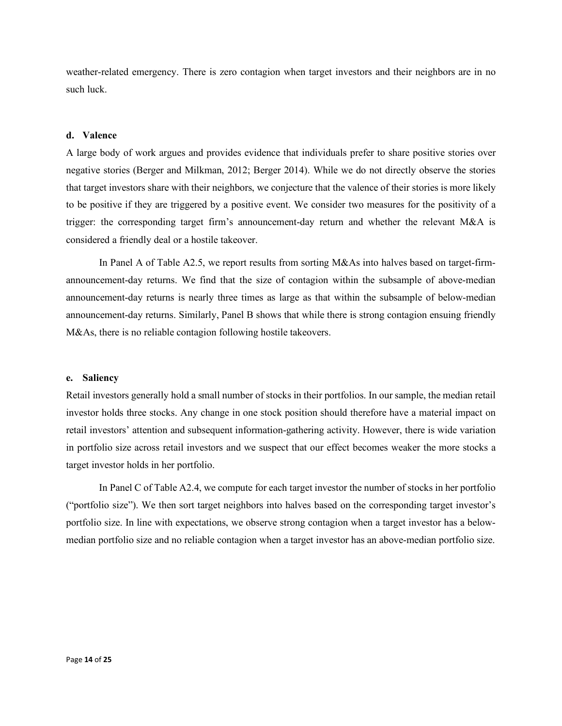weather-related emergency. There is zero contagion when target investors and their neighbors are in no such luck.

## **d. Valence**

A large body of work argues and provides evidence that individuals prefer to share positive stories over negative stories (Berger and Milkman, 2012; Berger 2014). While we do not directly observe the stories that target investors share with their neighbors, we conjecture that the valence of their stories is more likely to be positive if they are triggered by a positive event. We consider two measures for the positivity of a trigger: the corresponding target firm's announcement-day return and whether the relevant M&A is considered a friendly deal or a hostile takeover.

In Panel A of Table A2.5, we report results from sorting M&As into halves based on target-firmannouncement-day returns. We find that the size of contagion within the subsample of above-median announcement-day returns is nearly three times as large as that within the subsample of below-median announcement-day returns. Similarly, Panel B shows that while there is strong contagion ensuing friendly M&As, there is no reliable contagion following hostile takeovers.

#### **e. Saliency**

Retail investors generally hold a small number of stocks in their portfolios. In our sample, the median retail investor holds three stocks. Any change in one stock position should therefore have a material impact on retail investors' attention and subsequent information-gathering activity. However, there is wide variation in portfolio size across retail investors and we suspect that our effect becomes weaker the more stocks a target investor holds in her portfolio.

In Panel C of Table A2.4, we compute for each target investor the number of stocks in her portfolio ("portfolio size"). We then sort target neighbors into halves based on the corresponding target investor's portfolio size. In line with expectations, we observe strong contagion when a target investor has a belowmedian portfolio size and no reliable contagion when a target investor has an above-median portfolio size.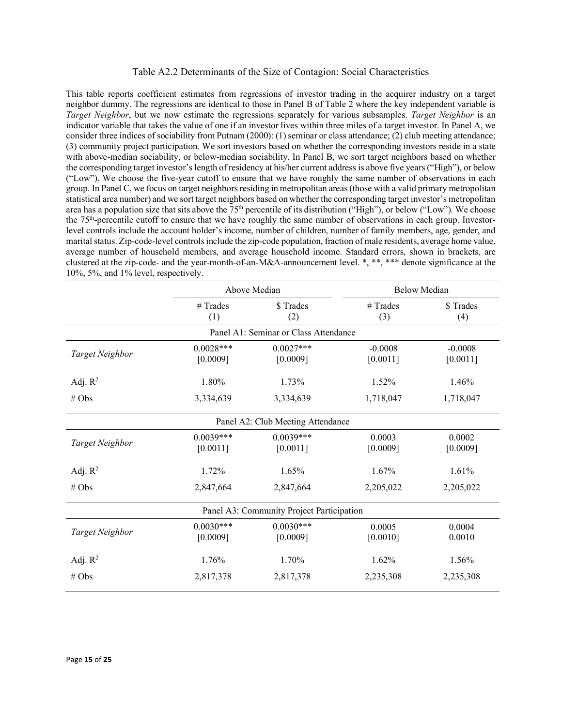#### Table A2.2 Determinants of the Size of Contagion: Social Characteristics

This table reports coefficient estimates from regressions of investor trading in the acquirer industry on a target neighbor dummy. The regressions are identical to those in Panel B of Table 2 where the key independent variable is *Target Neighbor*, but we now estimate the regressions separately for various subsamples. *Target Neighbor* is an indicator variable that takes the value of one if an investor lives within three miles of a target investor. In Panel A, we consider three indices of sociability from Putnam (2000): (1) seminar or class attendance; (2) club meeting attendance; (3) community project participation. We sort investors based on whether the corresponding investors reside in a state with above-median sociability, or below-median sociability. In Panel B, we sort target neighbors based on whether the corresponding target investor's length of residency at his/her current address is above five years ("High"), or below ("Low"). We choose the five-year cutoff to ensure that we have roughly the same number of observations in each group. In Panel C, we focus on target neighbors residing in metropolitan areas(those with a valid primary metropolitan statistical area number) and we sort target neighbors based on whether the corresponding target investor's metropolitan area has a population size that sits above the 75<sup>th</sup> percentile of its distribution ("High"), or below ("Low"). We choose the  $75<sup>th</sup>$ -percentile cutoff to ensure that we have roughly the same number of observations in each group. Investorlevel controls include the account holder's income, number of children, number of family members, age, gender, and marital status. Zip-code-level controls include the zip-code population, fraction of male residents, average home value, average number of household members, and average household income. Standard errors, shown in brackets, are clustered at the zip-code- and the year-month-of-an-M&A-announcement level. \*, \*\*, \*\*\* denote significance at the 10%, 5%, and 1% level, respectively.

|                 | Above Median            |                                           | <b>Below Median</b>   |                       |
|-----------------|-------------------------|-------------------------------------------|-----------------------|-----------------------|
|                 | # Trades<br>(1)         | \$Trades<br>(2)                           | $#$ Trades<br>(3)     | \$ Trades<br>(4)      |
|                 |                         | Panel A1: Seminar or Class Attendance     |                       |                       |
| Target Neighbor | $0.0028***$<br>[0.0009] | $0.0027***$<br>[0.0009]                   | $-0.0008$<br>[0.0011] | $-0.0008$<br>[0.0011] |
| Adj. $R^2$      | 1.80%                   | 1.73%                                     | 1.52%                 | 1.46%                 |
| # Obs           | 3,334,639               | 3,334,639                                 | 1,718,047             | 1,718,047             |
|                 |                         | Panel A2: Club Meeting Attendance         |                       |                       |
| Target Neighbor | $0.0039***$<br>[0.0011] | $0.0039***$<br>[0.0011]                   | 0.0003<br>[0.0009]    | 0.0002<br>[0.0009]    |
| Adj. $R^2$      | 1.72%                   | 1.65%                                     | 1.67%                 | 1.61%                 |
| # Obs           | 2,847,664               | 2,847,664                                 | 2,205,022             | 2,205,022             |
|                 |                         | Panel A3: Community Project Participation |                       |                       |
| Target Neighbor | $0.0030***$<br>[0.0009] | $0.0030***$<br>[0.0009]                   | 0.0005<br>[0.0010]    | 0.0004<br>0.0010      |
| Adj. $R^2$      | 1.76%                   | 1.70%                                     | 1.62%                 | 1.56%                 |
| # Obs           | 2,817,378               | 2,817,378                                 | 2,235,308             | 2,235,308             |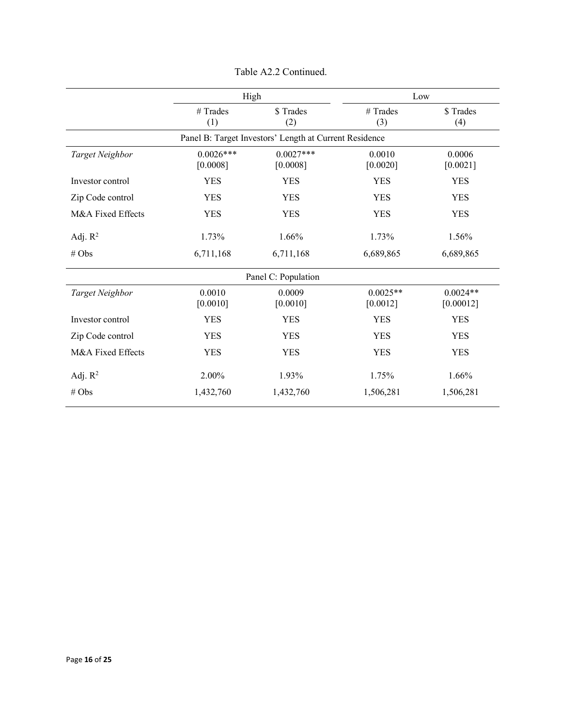|                   | High                    |                                                        | Low                    |                         |
|-------------------|-------------------------|--------------------------------------------------------|------------------------|-------------------------|
|                   | $#$ Trades<br>(1)       | \$Trades<br>(2)                                        | # Trades<br>(3)        | \$Trades<br>(4)         |
|                   |                         | Panel B: Target Investors' Length at Current Residence |                        |                         |
| Target Neighbor   | $0.0026***$<br>[0.0008] | $0.0027***$<br>[0.0008]                                | 0.0010<br>[0.0020]     | 0.0006<br>[0.0021]      |
| Investor control  | <b>YES</b>              | <b>YES</b>                                             | <b>YES</b>             | <b>YES</b>              |
| Zip Code control  | <b>YES</b>              | <b>YES</b>                                             | <b>YES</b>             | <b>YES</b>              |
| M&A Fixed Effects | <b>YES</b>              | <b>YES</b>                                             | <b>YES</b>             | <b>YES</b>              |
| Adj. $R^2$        | 1.73%                   | 1.66%                                                  | 1.73%                  | 1.56%                   |
| # Obs             | 6,711,168               | 6,711,168                                              | 6,689,865              | 6,689,865               |
|                   |                         | Panel C: Population                                    |                        |                         |
| Target Neighbor   | 0.0010<br>[0.0010]      | 0.0009<br>[0.0010]                                     | $0.0025**$<br>[0.0012] | $0.0024**$<br>[0.00012] |
| Investor control  | <b>YES</b>              | <b>YES</b>                                             | <b>YES</b>             | <b>YES</b>              |
| Zip Code control  | <b>YES</b>              | <b>YES</b>                                             | <b>YES</b>             | <b>YES</b>              |
| M&A Fixed Effects | <b>YES</b>              | <b>YES</b>                                             | <b>YES</b>             | <b>YES</b>              |
| Adj. $R^2$        | 2.00%                   | 1.93%                                                  | 1.75%                  | 1.66%                   |
| # Obs             | 1,432,760               | 1,432,760                                              | 1,506,281              | 1,506,281               |

Table A2.2 Continued.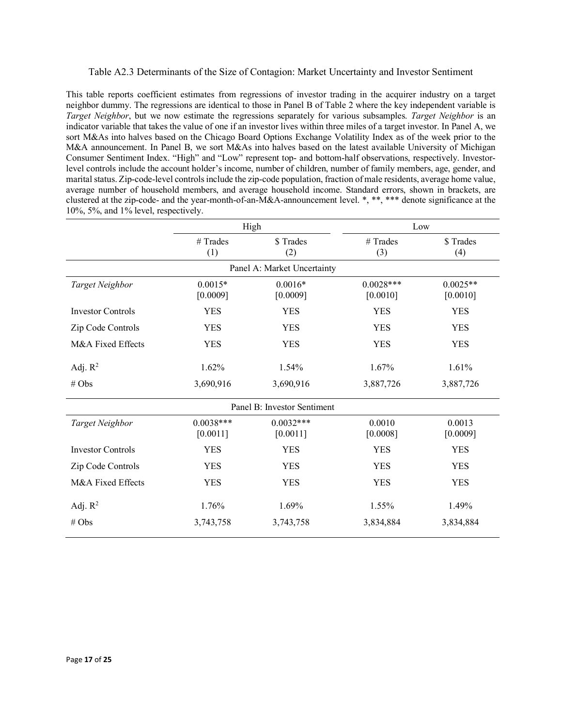### Table A2.3 Determinants of the Size of Contagion: Market Uncertainty and Investor Sentiment

This table reports coefficient estimates from regressions of investor trading in the acquirer industry on a target neighbor dummy. The regressions are identical to those in Panel B of Table 2 where the key independent variable is *Target Neighbor*, but we now estimate the regressions separately for various subsamples. *Target Neighbor* is an indicator variable that takes the value of one if an investor lives within three miles of a target investor. In Panel A, we sort M&As into halves based on the Chicago Board Options Exchange Volatility Index as of the week prior to the M&A announcement. In Panel B, we sort M&As into halves based on the latest available University of Michigan Consumer Sentiment Index. "High" and "Low" represent top- and bottom-half observations, respectively. Investorlevel controls include the account holder's income, number of children, number of family members, age, gender, and marital status. Zip-code-level controls include the zip-code population, fraction of male residents, average home value, average number of household members, and average household income. Standard errors, shown in brackets, are clustered at the zip-code- and the year-month-of-an-M&A-announcement level. \*, \*\*, \*\*\* denote significance at the 10%, 5%, and 1% level, respectively.

|                          | High                    |                             | Low                     |                        |  |
|--------------------------|-------------------------|-----------------------------|-------------------------|------------------------|--|
|                          | $#$ Trades<br>(1)       | \$Trades<br>(2)             | # Trades<br>(3)         | \$Trades<br>(4)        |  |
|                          |                         | Panel A: Market Uncertainty |                         |                        |  |
| Target Neighbor          | $0.0015*$<br>[0.0009]   | $0.0016*$<br>[0.0009]       | $0.0028***$<br>[0.0010] | $0.0025**$<br>[0.0010] |  |
| <b>Investor Controls</b> | <b>YES</b>              | <b>YES</b>                  | <b>YES</b>              | <b>YES</b>             |  |
| Zip Code Controls        | <b>YES</b>              | <b>YES</b>                  | <b>YES</b>              | <b>YES</b>             |  |
| M&A Fixed Effects        | <b>YES</b>              | <b>YES</b>                  | <b>YES</b>              |                        |  |
| Adj. $R^2$               | 1.62%                   | 1.54%                       | 1.67%                   | 1.61%                  |  |
| # Obs                    | 3,690,916               | 3,690,916<br>3,887,726      |                         | 3,887,726              |  |
|                          |                         | Panel B: Investor Sentiment |                         |                        |  |
| Target Neighbor          | $0.0038***$<br>[0.0011] | $0.0032***$<br>[0.0011]     | 0.0010<br>[0.0008]      | 0.0013<br>[0.0009]     |  |
| <b>Investor Controls</b> | <b>YES</b>              | <b>YES</b>                  | <b>YES</b>              | <b>YES</b>             |  |
| Zip Code Controls        | <b>YES</b>              | <b>YES</b>                  | <b>YES</b>              | <b>YES</b>             |  |
| M&A Fixed Effects        | <b>YES</b>              | <b>YES</b>                  | <b>YES</b>              | <b>YES</b>             |  |
| Adj. $R^2$               | 1.76%                   | 1.69%                       | 1.55%                   | 1.49%                  |  |
| # Obs                    | 3,743,758               | 3,743,758                   | 3,834,884               | 3,834,884              |  |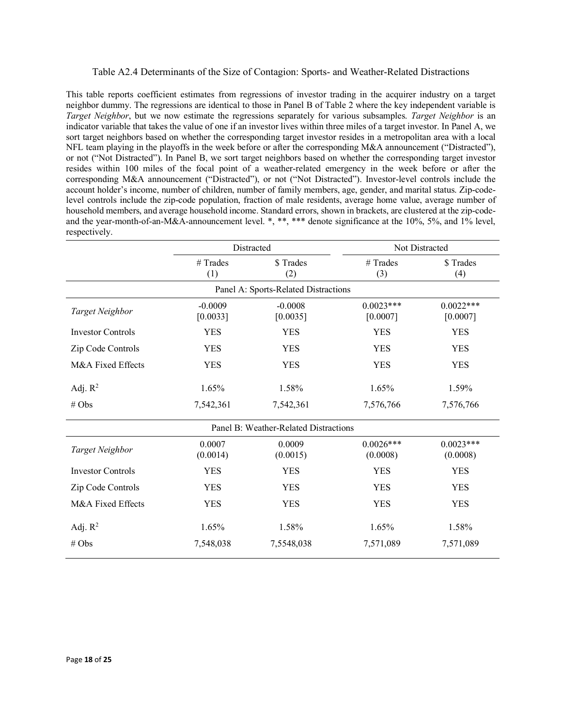### Table A2.4 Determinants of the Size of Contagion: Sports- and Weather-Related Distractions

This table reports coefficient estimates from regressions of investor trading in the acquirer industry on a target neighbor dummy. The regressions are identical to those in Panel B of Table 2 where the key independent variable is *Target Neighbor*, but we now estimate the regressions separately for various subsamples. *Target Neighbor* is an indicator variable that takes the value of one if an investor lives within three miles of a target investor. In Panel A, we sort target neighbors based on whether the corresponding target investor resides in a metropolitan area with a local NFL team playing in the playoffs in the week before or after the corresponding M&A announcement ("Distracted"), or not ("Not Distracted"). In Panel B, we sort target neighbors based on whether the corresponding target investor resides within 100 miles of the focal point of a weather-related emergency in the week before or after the corresponding M&A announcement ("Distracted"), or not ("Not Distracted"). Investor-level controls include the account holder's income, number of children, number of family members, age, gender, and marital status. Zip-codelevel controls include the zip-code population, fraction of male residents, average home value, average number of household members, and average household income. Standard errors, shown in brackets, are clustered at the zip-codeand the year-month-of-an-M&A-announcement level. \*, \*\*, \*\*\* denote significance at the 10%, 5%, and 1% level, respectively.

|                                      | Distracted<br>\$Trades<br># Trades<br>(1)<br>(2) |                                       |                         | Not Distracted          |  |  |  |  |
|--------------------------------------|--------------------------------------------------|---------------------------------------|-------------------------|-------------------------|--|--|--|--|
|                                      |                                                  |                                       | # Trades<br>(3)         | \$Trades<br>(4)         |  |  |  |  |
| Panel A: Sports-Related Distractions |                                                  |                                       |                         |                         |  |  |  |  |
| Target Neighbor                      | $-0.0009$<br>[0.0033]                            | $-0.0008$<br>[0.0035]                 | $0.0023***$<br>[0.0007] | $0.0022***$<br>[0.0007] |  |  |  |  |
| <b>Investor Controls</b>             | <b>YES</b>                                       | <b>YES</b>                            | <b>YES</b>              | <b>YES</b>              |  |  |  |  |
| Zip Code Controls                    | <b>YES</b>                                       | <b>YES</b>                            | <b>YES</b>              | <b>YES</b>              |  |  |  |  |
| M&A Fixed Effects                    | <b>YES</b>                                       | <b>YES</b>                            | <b>YES</b>              |                         |  |  |  |  |
| Adj. $R^2$                           | 1.65%                                            | 1.58%                                 | 1.65%                   |                         |  |  |  |  |
| # Obs                                | 7,542,361                                        | 7,542,361                             | 7,576,766               | 7,576,766               |  |  |  |  |
|                                      |                                                  | Panel B: Weather-Related Distractions |                         |                         |  |  |  |  |
| Target Neighbor                      | 0.0007<br>(0.0014)                               | 0.0009<br>(0.0015)                    | $0.0026***$<br>(0.0008) | $0.0023***$<br>(0.0008) |  |  |  |  |
| <b>Investor Controls</b>             | <b>YES</b>                                       | <b>YES</b>                            | <b>YES</b>              | <b>YES</b>              |  |  |  |  |
| Zip Code Controls                    | <b>YES</b>                                       | <b>YES</b>                            | <b>YES</b>              |                         |  |  |  |  |
| M&A Fixed Effects                    | <b>YES</b>                                       | <b>YES</b>                            | <b>YES</b>              | <b>YES</b>              |  |  |  |  |
| Adj. $R^2$                           | 1.65%                                            | 1.58%                                 | 1.65%                   | 1.58%                   |  |  |  |  |
| # Obs                                | 7,548,038                                        | 7,5548,038                            | 7,571,089               | 7,571,089               |  |  |  |  |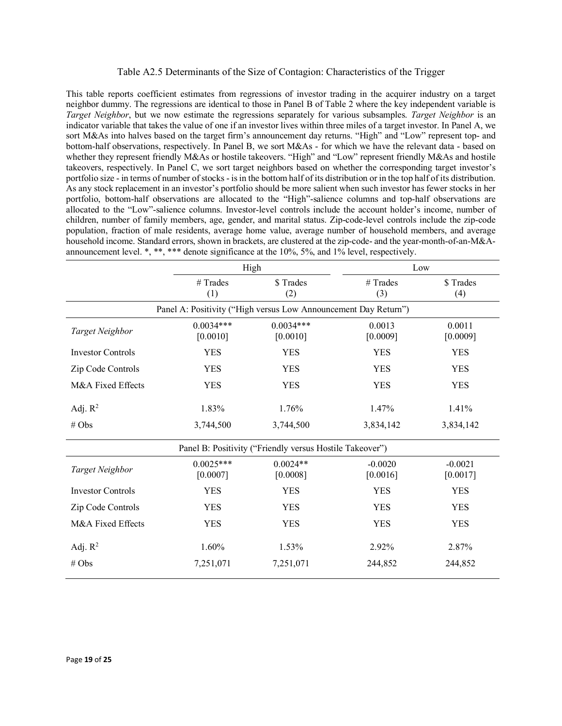### Table A2.5 Determinants of the Size of Contagion: Characteristics of the Trigger

This table reports coefficient estimates from regressions of investor trading in the acquirer industry on a target neighbor dummy. The regressions are identical to those in Panel B of Table 2 where the key independent variable is *Target Neighbor*, but we now estimate the regressions separately for various subsamples. *Target Neighbor* is an indicator variable that takes the value of one if an investor lives within three miles of a target investor. In Panel A, we sort M&As into halves based on the target firm's announcement day returns. "High" and "Low" represent top- and bottom-half observations, respectively. In Panel B, we sort M&As - for which we have the relevant data - based on whether they represent friendly M&As or hostile takeovers. "High" and "Low" represent friendly M&As and hostile takeovers, respectively. In Panel C, we sort target neighbors based on whether the corresponding target investor's portfolio size - in terms of number of stocks - is in the bottom half of its distribution or in the top half of its distribution. As any stock replacement in an investor's portfolio should be more salient when such investor has fewer stocks in her portfolio, bottom-half observations are allocated to the "High"-salience columns and top-half observations are allocated to the "Low"-salience columns. Investor-level controls include the account holder's income, number of children, number of family members, age, gender, and marital status. Zip-code-level controls include the zip-code population, fraction of male residents, average home value, average number of household members, and average household income. Standard errors, shown in brackets, are clustered at the zip-code- and the year-month-of-an-M&Aannouncement level. \*, \*\*, \*\*\* denote significance at the 10%, 5%, and 1% level, respectively.

|                          |                                                                 | High                                                     | Low                   |                       |  |
|--------------------------|-----------------------------------------------------------------|----------------------------------------------------------|-----------------------|-----------------------|--|
|                          | # Trades<br>(1)                                                 | \$Trades<br>(2)                                          |                       | \$Trades<br>(4)       |  |
|                          | Panel A: Positivity ("High versus Low Announcement Day Return") |                                                          |                       |                       |  |
| Target Neighbor          | $0.0034***$<br>[0.0010]                                         | $0.0034***$<br>[0.0010]                                  | 0.0013<br>[0.0009]    | 0.0011<br>[0.0009]    |  |
| <b>Investor Controls</b> | <b>YES</b>                                                      | <b>YES</b>                                               | <b>YES</b>            | <b>YES</b>            |  |
| Zip Code Controls        | <b>YES</b>                                                      | <b>YES</b>                                               | <b>YES</b>            | <b>YES</b>            |  |
| M&A Fixed Effects        | <b>YES</b>                                                      | <b>YES</b>                                               | <b>YES</b>            | <b>YES</b>            |  |
| Adj. $R^2$               | 1.83%                                                           | 1.76%                                                    | 1.47%                 | 1.41%                 |  |
| # Obs                    | 3,744,500                                                       | 3,744,500                                                | 3,834,142             |                       |  |
|                          |                                                                 | Panel B: Positivity ("Friendly versus Hostile Takeover") |                       |                       |  |
| Target Neighbor          | $0.0025***$<br>[0.0007]                                         | $0.0024**$<br>[0.0008]                                   | $-0.0020$<br>[0.0016] | $-0.0021$<br>[0.0017] |  |
| <b>Investor Controls</b> | <b>YES</b>                                                      | <b>YES</b>                                               | <b>YES</b>            | <b>YES</b>            |  |
| Zip Code Controls        | <b>YES</b>                                                      | <b>YES</b>                                               | <b>YES</b>            | <b>YES</b>            |  |
| M&A Fixed Effects        | <b>YES</b>                                                      | <b>YES</b>                                               | <b>YES</b>            | <b>YES</b>            |  |
| Adj. $R^2$               | 1.60%                                                           | 1.53%                                                    | 2.92%                 | 2.87%                 |  |
| # Obs                    | 7,251,071                                                       | 7,251,071                                                | 244,852               | 244,852               |  |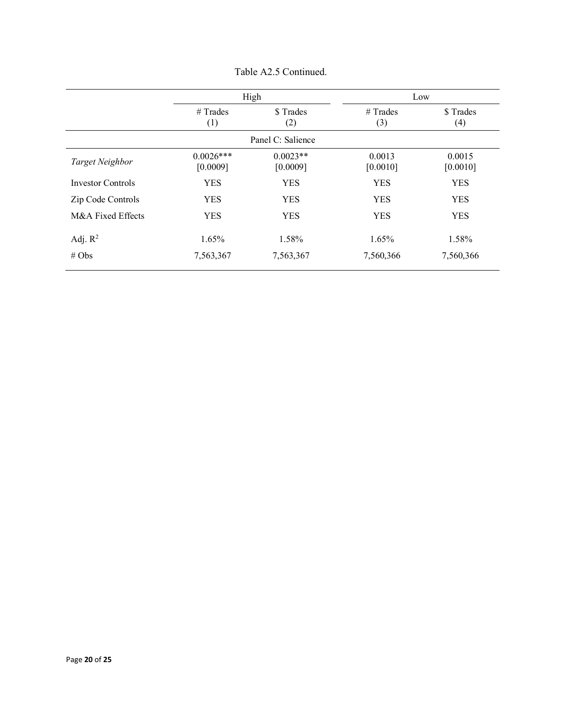|                          | High                    |                        | Low                |                    |
|--------------------------|-------------------------|------------------------|--------------------|--------------------|
|                          | $#$ Trades<br>(1)       | \$ Trades<br>(2)       | $#$ Trades<br>(3)  | \$ Trades<br>(4)   |
|                          |                         | Panel C: Salience      |                    |                    |
| Target Neighbor          | $0.0026***$<br>[0.0009] | $0.0023**$<br>[0.0009] | 0.0013<br>[0.0010] | 0.0015<br>[0.0010] |
| <b>Investor Controls</b> | <b>YES</b>              | <b>YES</b>             | <b>YES</b>         | <b>YES</b>         |
| Zip Code Controls        | <b>YES</b>              | <b>YES</b>             | <b>YES</b>         | <b>YES</b>         |
| M&A Fixed Effects        | <b>YES</b>              | <b>YES</b>             | <b>YES</b>         | <b>YES</b>         |
| Adj. $R^2$               | 1.65%                   | 1.58%                  | 1.65%              | 1.58%              |
| # Obs                    | 7,563,367               | 7,563,367              | 7,560,366          | 7,560,366          |

Table A2.5 Continued.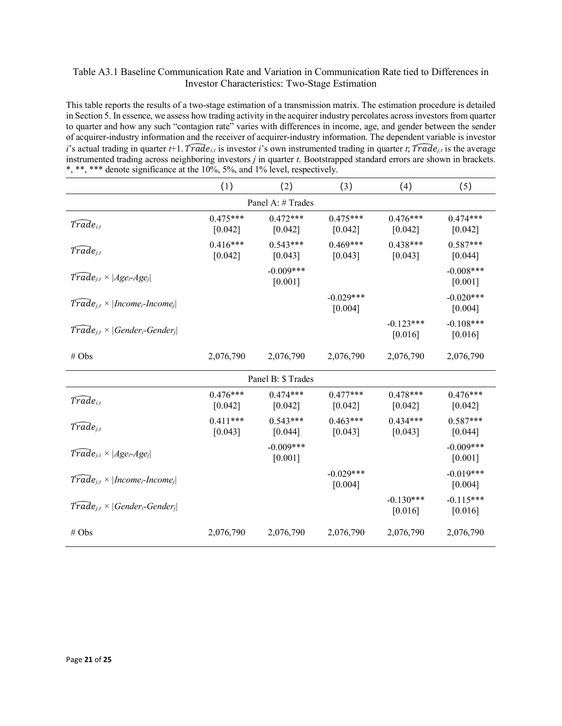## Table A3.1 Baseline Communication Rate and Variation in Communication Rate tied to Differences in Investor Characteristics: Two-Stage Estimation

This table reports the results of a two-stage estimation of a transmission matrix. The estimation procedure is detailed in Section 5. In essence, we assess how trading activity in the acquirer industry percolates across investors from quarter to quarter and how any such "contagion rate" varies with differences in income, age, and gender between the sender of acquirer-industry information and the receiver of acquirer-industry information. The dependent variable is investor *i*'s actual trading in quarter *t*+1. Trade<sub>it</sub> is investor *i*'s own instrumented trading in quarter *t*; Trade<sub>it</sub> is the average instrumented trading across neighboring investors *j* in quarter *t*. Bootstrapped standard errors are shown in brackets. \*, \*\*, \*\*\* denote significance at the 10%, 5%, and 1% level, respectively.

|                                                                   | (1)                   | (2)                      | (3)                    | (4)                    | (5)                    |
|-------------------------------------------------------------------|-----------------------|--------------------------|------------------------|------------------------|------------------------|
|                                                                   |                       | Panel A: # Trades        |                        |                        |                        |
| $Trade_{i,t}$                                                     | $0.475***$<br>[0.042] | $0.472***$<br>[0.042]    | $0.475***$<br>[0.042]  | $0.476***$<br>[0.042]  | $0.474***$<br>[0.042]  |
| $\widehat{Trade}_{j,t}$                                           | $0.416***$<br>[0.042] | $0.543***$<br>[0.043]    | $0.469***$<br>[0.043]  | $0.438***$<br>[0.043]  | $0.587***$<br>[0.044]  |
| $T\widehat{rad}e_{i,t}\times Age_i-Age_i $                        |                       | $-0.009***$<br>[0.001]   |                        |                        | $-0.008***$<br>[0.001] |
| $\text{Trade}_{i,t} \times  \text{Income}_i\text{-}Income_i $     |                       |                          | $-0.029***$<br>[0.004] |                        | $-0.020***$<br>[0.004] |
| $\text{Trade}_{j,t} \times  \text{Gender}_{i}\text{-Gender}_{j} $ |                       |                          |                        | $-0.123***$<br>[0.016] | $-0.108***$<br>[0.016] |
| # Obs                                                             | 2,076,790             | 2,076,790                | 2,076,790              | 2,076,790              | 2,076,790              |
|                                                                   |                       | Panel B: \$ Trades       |                        |                        |                        |
| $T\widehat{rad}e_{i,t}$                                           | $0.476***$<br>[0.042] | $0.474***$<br>[0.042]    | $0.477***$<br>[0.042]  | $0.478***$<br>[0.042]  | $0.476***$<br>[0.042]  |
| $T\bar{r}a\bar{d}e_{j,t}$                                         | $0.411***$<br>[0.043] | $0.543***$<br>[0.044]    | $0.463***$<br>[0.043]  | $0.434***$<br>[0.043]  | $0.587***$<br>[0.044]  |
| $\widehat{Trade}_{j,t} \times  Age_i Age_j $                      |                       | $-0.009***$<br>$[0.001]$ |                        |                        | $-0.009***$<br>[0.001] |
| $\text{Trade}_{i,t} \times  \text{Income}_i\text{-}Income_i $     |                       |                          | $-0.029***$<br>[0.004] |                        | $-0.019***$<br>[0.004] |
| $\text{Trade}_{j,t} \times  \text{Gender}_{i}\text{-Gender}_{j} $ |                       |                          |                        | $-0.130***$<br>[0.016] | $-0.115***$<br>[0.016] |
| # Obs                                                             | 2,076,790             | 2,076,790                | 2,076,790              | 2,076,790              | 2,076,790              |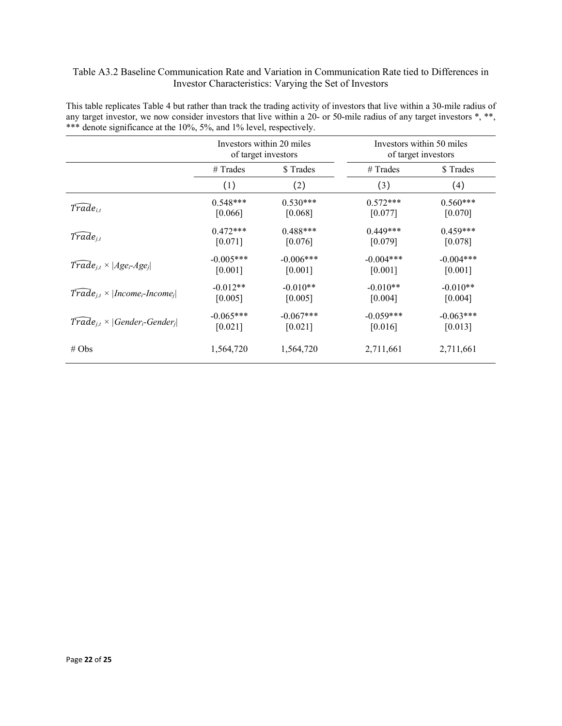## Table A3.2 Baseline Communication Rate and Variation in Communication Rate tied to Differences in Investor Characteristics: Varying the Set of Investors

|                                                               |             | Investors within 20 miles<br>of target investors | Investors within 50 miles<br>of target investors |             |  |
|---------------------------------------------------------------|-------------|--------------------------------------------------|--------------------------------------------------|-------------|--|
|                                                               | $#$ Trades  | \$Trades                                         | $#$ Trades                                       | \$Trades    |  |
|                                                               | (1)         | (2)                                              | (3)                                              | (4)         |  |
| $\widetilde{Trade}_{i.t}$                                     | $0.548***$  | $0.530***$                                       | $0.572***$                                       | $0.560***$  |  |
|                                                               | [0.066]     | [0.068]                                          | [0.077]                                          | [0.070]     |  |
| $\widehat{Trade}_{i,t}$                                       | $0.472***$  | $0.488***$                                       | $0.449***$                                       | $0.459***$  |  |
|                                                               | [0.071]     | [0.076]                                          | [0.079]                                          | [0.078]     |  |
| $\text{Trade}_{i,t} \times  Age_i\text{-}Age_i $              | $-0.005***$ | $-0.006***$                                      | $-0.004***$                                      | $-0.004***$ |  |
|                                                               | [0.001]     | [0.001]                                          | [0.001]                                          | [0.001]     |  |
| $\text{Trade}_{i,t} \times  \text{Income}_i\text{-}Income_i $ | $-0.012**$  | $-0.010**$                                       | $-0.010**$                                       | $-0.010**$  |  |
|                                                               | [0.005]     | [0.005]                                          | [0.004]                                          | [0.004]     |  |
| $Trade_{i,t} \times  Generator_i-Gender_i $                   | $-0.065***$ | $-0.067***$                                      | $-0.059***$                                      | $-0.063***$ |  |
|                                                               | [0.021]     | [0.021]                                          | [0.016]                                          | [0.013]     |  |
| # Obs                                                         | 1,564,720   | 1,564,720                                        | 2,711,661                                        | 2,711,661   |  |

This table replicates Table 4 but rather than track the trading activity of investors that live within a 30-mile radius of any target investor, we now consider investors that live within a 20- or 50-mile radius of any target investors \*, \*\*, \*\*\* denote significance at the 10%, 5%, and 1% level, respectively.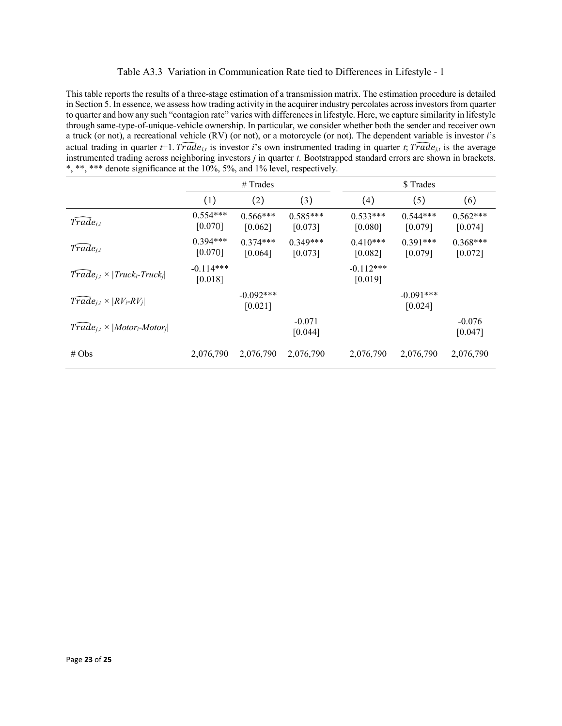#### Table A3.3 Variation in Communication Rate tied to Differences in Lifestyle - 1

This table reports the results of a three-stage estimation of a transmission matrix. The estimation procedure is detailed in Section 5. In essence, we assess how trading activity in the acquirer industry percolates across investors from quarter to quarter and how any such "contagion rate" varies with differences in lifestyle. Here, we capture similarity in lifestyle through same-type-of-unique-vehicle ownership. In particular, we consider whether both the sender and receiver own a truck (or not), a recreational vehicle (RV) (or not), or a motorcycle (or not). The dependent variable is investor *i*'s actual trading in quarter *t*+1. Trade<sub>*it*</sub> is investor *i*'s own instrumented trading in quarter *t*;  $\widehat{Trade}_{i,t}$  is the average instrumented trading across neighboring investors *j* in quarter *t*. Bootstrapped standard errors are shown in brackets. \*, \*\*, \*\*\* denote significance at the 10%, 5%, and 1% level, respectively.

|                                                                                 | $#$ Trades             |                         |                       | \$Trades               |                        |                       |
|---------------------------------------------------------------------------------|------------------------|-------------------------|-----------------------|------------------------|------------------------|-----------------------|
|                                                                                 | (1)                    | (2)                     | (3)                   | (4)                    | (5)                    | (6)                   |
| $\widetilde{Trade}_{i,t}$                                                       | $0.554***$<br>[0.070]  | $0.566***$<br>[0.062]   | $0.585***$<br>[0.073] | $0.533***$<br>[0.080]  | $0.544***$<br>[0.079]  | $0.562***$<br>[0.074] |
| $Trade_{j,t}$                                                                   | $0.394***$<br>[0.070]  | $0.374***$<br>[0.064]   | $0.349***$<br>[0.073] | $0.410***$<br>[0.082]  | $0.391***$<br>[0.079]  | $0.368***$<br>[0.072] |
| $\overline{Trade}_{j,t} \times   \overline{Truck_i}\text{-}\overline{Truck_j} $ | $-0.114***$<br>[0.018] |                         |                       | $-0.112***$<br>[0.019] |                        |                       |
| $Trade_{i,t} \times  RV_i-RV_j $                                                |                        | $-0.092$ ***<br>[0.021] |                       |                        | $-0.091***$<br>[0.024] |                       |
| $Trade_{i,t} \times  Motor_i-Motor_j $                                          |                        |                         | $-0.071$<br>[0.044]   |                        |                        | $-0.076$<br>[0.047]   |
| # Obs                                                                           | 2,076,790              | 2,076,790               | 2,076,790             | 2,076,790              | 2,076,790              | 2,076,790             |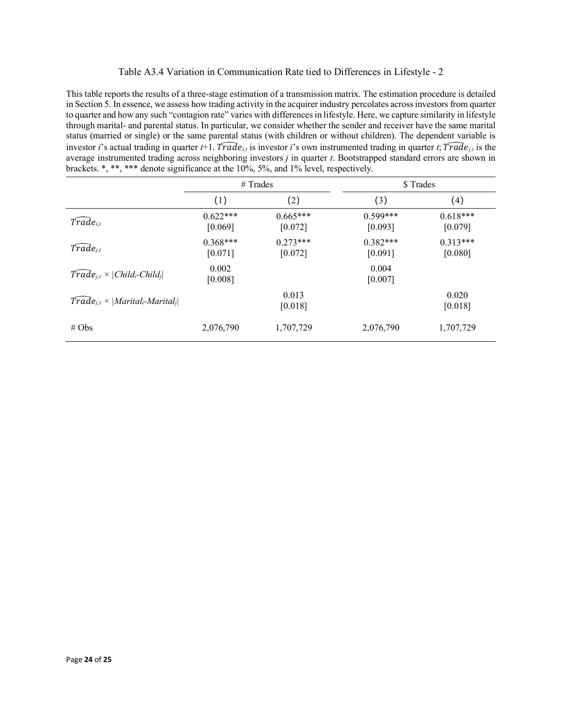## Table A3.4 Variation in Communication Rate tied to Differences in Lifestyle - 2

This table reports the results of a three-stage estimation of a transmission matrix. The estimation procedure is detailed in Section 5. In essence, we assess how trading activity in the acquirer industry percolates across investors from quarter to quarter and how any such "contagion rate" varies with differences in lifestyle. Here, we capture similarity in lifestyle through marital- and parental status. In particular, we consider whether the sender and receiver have the same marital status (married or single) or the same parental status (with children or without children). The dependent variable is investor *i*'s actual trading in quarter *t*+1. *I* $rad$ <sub>*i,t*</sub> is investor *i*'s own instrumented trading in quarter *t*;  $Trade$ <sub>*i,t*</sub> is the average instrumented trading across neighboring investors *j* in quarter *t*. Bootstrapped standard errors are shown in brackets. \*, \*\*, \*\*\* denote significance at the 10%, 5%, and 1% level, respectively.

|                                                                       | $#$ Trades            |                       | \$ Trades               |                       |  |
|-----------------------------------------------------------------------|-----------------------|-----------------------|-------------------------|-----------------------|--|
|                                                                       | (1)                   | (2)                   | (3)                     | (4)                   |  |
| $\bar{Trade}_{i,t}$                                                   | $0.622***$<br>[0.069] | $0.665***$<br>[0.072] | $0.599***$<br>[0.093]   | $0.618***$<br>[0.079] |  |
| $Trade_{j,t}$                                                         | $0.368***$<br>[0.071] | $0.273***$<br>[0.072] | $0.382***$<br>$[0.091]$ | $0.313***$<br>[0.080] |  |
| $\text{Trade}_{j,t} \times   \text{Child}_i\text{-} \text{Child}_j  $ | 0.002<br>[0.008]      |                       | 0.004<br>[0.007]        |                       |  |
| $Trade_{i,t} \times  Marital_i-Marital_i $                            |                       | 0.013<br>[0.018]      |                         | 0.020<br>[0.018]      |  |
| # Obs                                                                 | 2,076,790             | 1,707,729             | 2,076,790               | 1,707,729             |  |